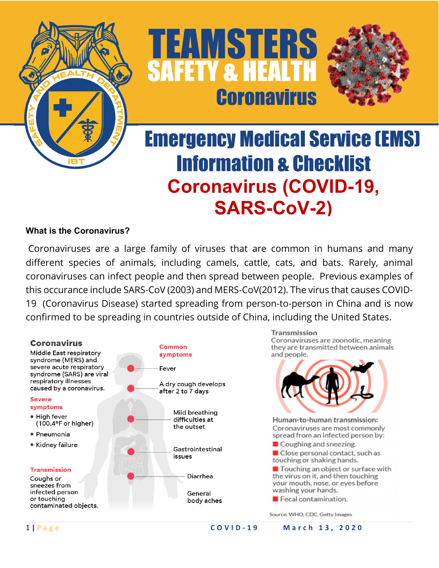

TEAMSTERS<br>SAFETY & HEALTH **Coronavirus** 



# Emergency Medical Service (EMS) Information & Checklist **Coronavirus (COVID-19, SARS-CoV-2)**

#### **What is the Coronavirus?**

 Coronaviruses are a large family of viruses that are common in humans and many different species of animals, including camels, cattle, cats, and bats. Rarely, animal coronaviruses can infect people and then spread between people. Previous examples of this occurance include SARS-CoV (2003) and MERS-CoV(2012). The virus that causes COVID-19 (Coronavirus Disease) started spreading from person-to-person in China and is now confirmed to be spreading in countries outside of China, including the United States.



1 **|** Page **COVID ‐ 1 9 March 13, 2020**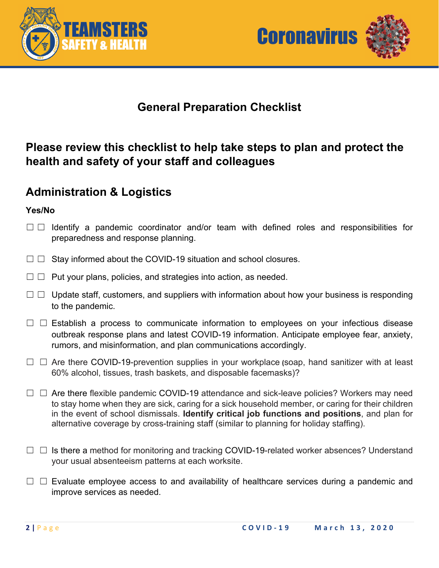



# **General Preparation Checklist**

# **Please review this checklist to help take steps to plan and protect the health and safety of your staff and colleagues**

# **Administration & Logistics**

- $\Box$  Identify a pandemic coordinator and/or team with defined roles and responsibilities for preparedness and response planning.
- □ □ Stay informed about the COVID-19 situation and school closures.
- $\Box$   $\Box$  Put your plans, policies, and strategies into action, as needed.
- $\Box$   $\Box$  Update staff, customers, and suppliers with information about how your business is responding to the pandemic.
- □ □ Establish a process to communicate information to employees on your infectious disease outbreak response plans and latest COVID-19 information. Anticipate employee fear, anxiety, rumors, and misinformation, and plan communications accordingly.
- ☐ ☐ Are there COVID-19-prevention supplies in your workplace **(**soap, hand sanitizer with at least 60% alcohol, tissues, trash baskets, and disposable facemasks)?
- $\Box$   $\Box$  Are there flexible pandemic COVID-19 attendance and sick-leave policies? Workers may need to stay home when they are sick, caring for a sick household member, or caring for their children in the event of school dismissals. **Identify critical job functions and positions**, and plan for alternative coverage by cross-training staff (similar to planning for holiday staffing).
- $\Box$   $\Box$  Is there a method for monitoring and tracking COVID-19-related worker absences? Understand your usual absenteeism patterns at each worksite.
- $\Box$   $\Box$  Evaluate employee access to and availability of healthcare services during a pandemic and improve services as needed.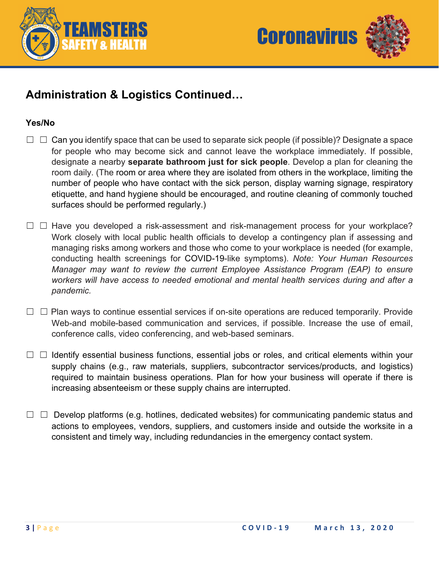



# **Administration & Logistics Continued…**

- $\Box$   $\Box$  Can you identify space that can be used to separate sick people (if possible)? Designate a space for people who may become sick and cannot leave the workplace immediately. If possible, designate a nearby **separate bathroom just for sick people**. Develop a plan for cleaning the room daily. (The room or area where they are isolated from others in the workplace, limiting the number of people who have contact with the sick person, display warning signage, respiratory etiquette, and hand hygiene should be encouraged, and routine cleaning of commonly touched surfaces should be performed regularly.)
- ☐ ☐ Have you developed a risk-assessment and risk-management process for your workplace? Work closely with local public health officials to develop a contingency plan if assessing and managing risks among workers and those who come to your workplace is needed (for example, conducting health screenings for COVID-19-like symptoms). *Note: Your Human Resources Manager may want to review the current Employee Assistance Program (EAP) to ensure workers will have access to needed emotional and mental health services during and after a pandemic.*
- ☐ ☐ Plan ways to continue essential services if on-site operations are reduced temporarily. Provide Web-and mobile-based communication and services, if possible. Increase the use of email, conference calls, video conferencing, and web-based seminars.
- $\Box$   $\Box$  Identify essential business functions, essential jobs or roles, and critical elements within your supply chains (e.g., raw materials, suppliers, subcontractor services/products, and logistics) required to maintain business operations. Plan for how your business will operate if there is increasing absenteeism or these supply chains are interrupted.
- □ □ Develop platforms (e.g. hotlines, dedicated websites) for communicating pandemic status and actions to employees, vendors, suppliers, and customers inside and outside the worksite in a consistent and timely way, including redundancies in the emergency contact system.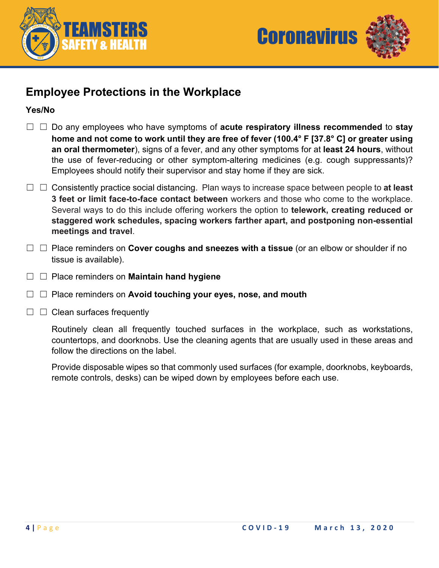



# **Employee Protections in the Workplace**

#### **Yes/No**

- ☐ ☐ Do any employees who have symptoms of **acute respiratory illness recommended** to **stay home and not come to work until they are free of fever (100.4° F [37.8° C] or greater using an oral thermometer**), signs of a fever, and any other symptoms for at **least 24 hours**, without the use of fever-reducing or other symptom-altering medicines (e.g. cough suppressants)? Employees should notify their supervisor and stay home if they are sick.
- ☐ ☐ Consistently practice social distancing. Plan ways to increase space between people to **at least 3 feet or limit face-to-face contact between** workers and those who come to the workplace. Several ways to do this include offering workers the option to **telework, creating reduced or staggered work schedules, spacing workers farther apart, and postponing non-essential meetings and travel**.
- ☐ ☐ Place reminders on **Cover coughs and sneezes with a tissue** (or an elbow or shoulder if no tissue is available).
- ☐ ☐ Place reminders on **Maintain hand hygiene**
- ☐ ☐ Place reminders on **Avoid touching your eyes, nose, and mouth**
- ☐ ☐ Clean surfaces frequently

Routinely clean all frequently touched surfaces in the workplace, such as workstations, countertops, and doorknobs. Use the cleaning agents that are usually used in these areas and follow the directions on the label.

Provide disposable wipes so that commonly used surfaces (for example, doorknobs, keyboards, remote controls, desks) can be wiped down by employees before each use.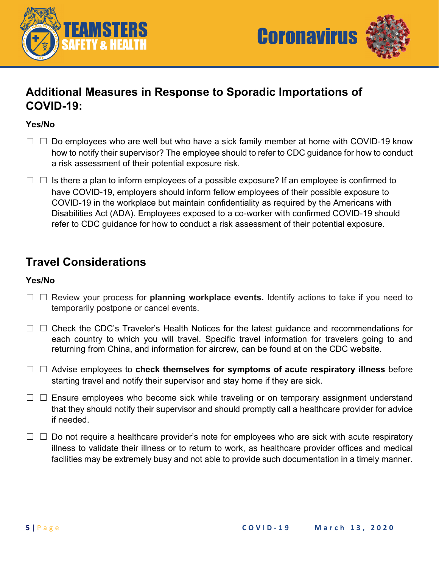



# **Additional Measures in Response to Sporadic Importations of COVID-19:**

#### **Yes/No**

- □ □ Do employees who are well but who have a sick family member at home with COVID-19 know how to notify their supervisor? The employee should to refer to CDC guidance for how to conduct a risk assessment of their potential exposure risk.
- $\Box$   $\Box$  Is there a plan to inform employees of a possible exposure? If an employee is confirmed to have COVID-19, employers should inform fellow employees of their possible exposure to COVID-19 in the workplace but maintain confidentiality as required by the Americans with Disabilities Act (ADA). Employees exposed to a co-worker with confirmed COVID-19 should refer to CDC guidance for how to conduct a risk assessment of their potential exposure.

### **Travel Considerations**

- ☐ ☐ Review your process for **planning workplace events.** Identify actions to take if you need to temporarily postpone or cancel events.
- □ □ Check the CDC's Traveler's Health Notices for the latest guidance and recommendations for each country to which you will travel. Specific travel information for travelers going to and returning from China, and information for aircrew, can be found at on the CDC website.
- ☐ ☐ Advise employees to **check themselves for symptoms of acute respiratory illness** before starting travel and notify their supervisor and stay home if they are sick.
- $\Box$   $\Box$  Ensure employees who become sick while traveling or on temporary assignment understand that they should notify their supervisor and should promptly call a healthcare provider for advice if needed.
- $\Box$   $\Box$  Do not require a healthcare provider's note for employees who are sick with acute respiratory illness to validate their illness or to return to work, as healthcare provider offices and medical facilities may be extremely busy and not able to provide such documentation in a timely manner.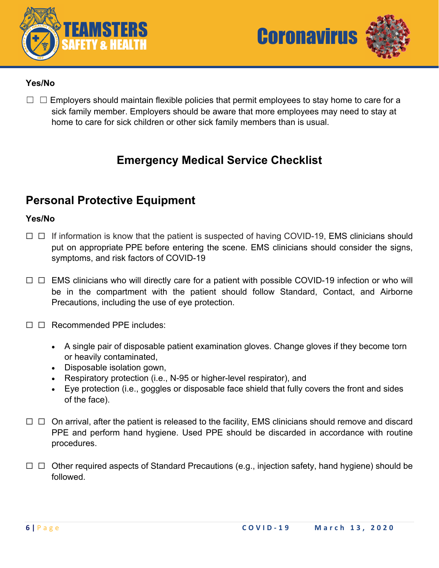



#### **Yes/No**

 $\Box$   $\Box$  Employers should maintain flexible policies that permit employees to stay home to care for a sick family member. Employers should be aware that more employees may need to stay at home to care for sick children or other sick family members than is usual.

# **Emergency Medical Service Checklist**

# **Personal Protective Equipment**

- □ □ If information is know that the patient is suspected of having COVID-19, EMS clinicians should put on appropriate PPE before entering the scene. EMS clinicians should consider the signs, symptoms, and risk factors of COVID-19
- □ □ EMS clinicians who will directly care for a patient with possible COVID-19 infection or who will be in the compartment with the patient should follow Standard, Contact, and Airborne Precautions, including the use of eye protection.
- ☐ ☐ Recommended PPE includes:
	- A single pair of disposable patient examination gloves. Change gloves if they become torn or heavily contaminated,
	- Disposable isolation gown,
	- Respiratory protection (i.e., N-95 or higher-level respirator), and
	- Eye protection (i.e., goggles or disposable face shield that fully covers the front and sides of the face).
- □ □ On arrival, after the patient is released to the facility, EMS clinicians should remove and discard PPE and perform hand hygiene. Used PPE should be discarded in accordance with routine procedures.
- ☐ ☐ Other required aspects of Standard Precautions (e.g., injection safety, hand hygiene) should be followed.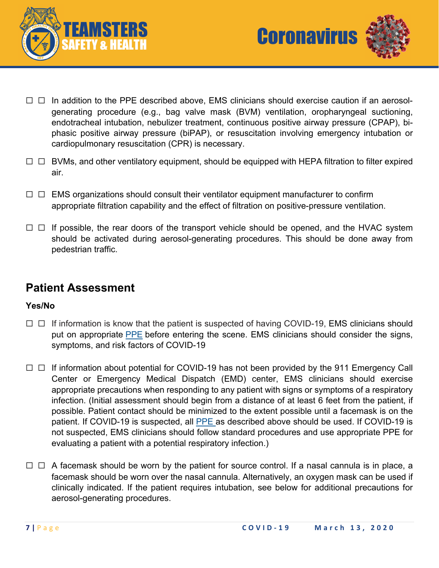



- ☐ ☐ In addition to the PPE described above, EMS clinicians should exercise caution if an aerosolgenerating procedure (e.g., bag valve mask (BVM) ventilation, oropharyngeal suctioning, endotracheal intubation, nebulizer treatment, continuous positive airway pressure (CPAP), biphasic positive airway pressure (biPAP), or resuscitation involving emergency intubation or cardiopulmonary resuscitation (CPR) is necessary.
- □ □ BVMs, and other ventilatory equipment, should be equipped with HEPA filtration to filter expired air.
- $\Box$   $\Box$  EMS organizations should consult their ventilator equipment manufacturer to confirm appropriate filtration capability and the effect of filtration on positive-pressure ventilation.
- $\Box$   $\Box$  If possible, the rear doors of the transport vehicle should be opened, and the HVAC system should be activated during aerosol-generating procedures. This should be done away from pedestrian traffic.

### **Patient Assessment**

- ☐ ☐ If information is know that the patient is suspected of having COVID-19, EMS clinicians should put on appropriate PPE before entering the scene. EMS clinicians should consider the signs, symptoms, and risk factors of COVID-19
- ☐ ☐ If information about potential for COVID-19 has not been provided by the 911 Emergency Call Center or Emergency Medical Dispatch (EMD) center, EMS clinicians should exercise appropriate precautions when responding to any patient with signs or symptoms of a respiratory infection. (Initial assessment should begin from a distance of at least 6 feet from the patient, if possible. Patient contact should be minimized to the extent possible until a facemask is on the patient. If COVID-19 is suspected, all **PPE** as described above should be used. If COVID-19 is not suspected, EMS clinicians should follow standard procedures and use appropriate PPE for evaluating a patient with a potential respiratory infection.)
- $\Box$   $\Box$  A facemask should be worn by the patient for source control. If a nasal cannula is in place, a facemask should be worn over the nasal cannula. Alternatively, an oxygen mask can be used if clinically indicated. If the patient requires intubation, see below for additional precautions for aerosol-generating procedures.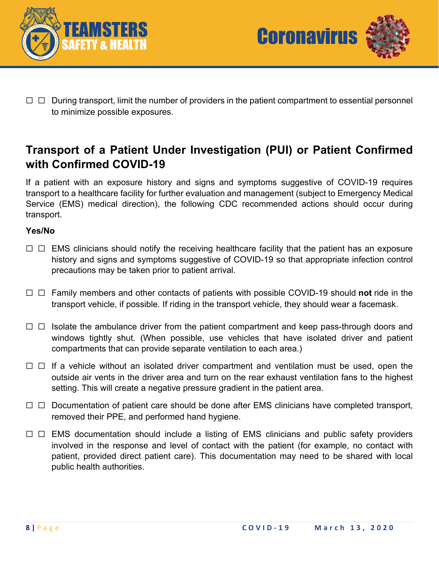



 $\Box$   $\Box$  During transport, limit the number of providers in the patient compartment to essential personnel to minimize possible exposures.

# **Transport of a Patient Under Investigation (PUI) or Patient Confirmed with Confirmed COVID-19**

If a patient with an exposure history and signs and symptoms suggestive of COVID-19 requires transport to a healthcare facility for further evaluation and management (subject to Emergency Medical Service (EMS) medical direction), the following CDC recommended actions should occur during transport.

- $\Box$   $\Box$  EMS clinicians should notify the receiving healthcare facility that the patient has an exposure history and signs and symptoms suggestive of COVID-19 so that appropriate infection control precautions may be taken prior to patient arrival.
- ☐ ☐ Family members and other contacts of patients with possible COVID-19 should **not** ride in the transport vehicle, if possible. If riding in the transport vehicle, they should wear a facemask.
- □ □ Isolate the ambulance driver from the patient compartment and keep pass-through doors and windows tightly shut. (When possible, use vehicles that have isolated driver and patient compartments that can provide separate ventilation to each area.)
- $\Box$   $\Box$  If a vehicle without an isolated driver compartment and ventilation must be used, open the outside air vents in the driver area and turn on the rear exhaust ventilation fans to the highest setting. This will create a negative pressure gradient in the patient area.
- □ □ Documentation of patient care should be done after EMS clinicians have completed transport, removed their PPE, and performed hand hygiene.
- □ □ EMS documentation should include a listing of EMS clinicians and public safety providers involved in the response and level of contact with the patient (for example, no contact with patient, provided direct patient care). This documentation may need to be shared with local public health authorities.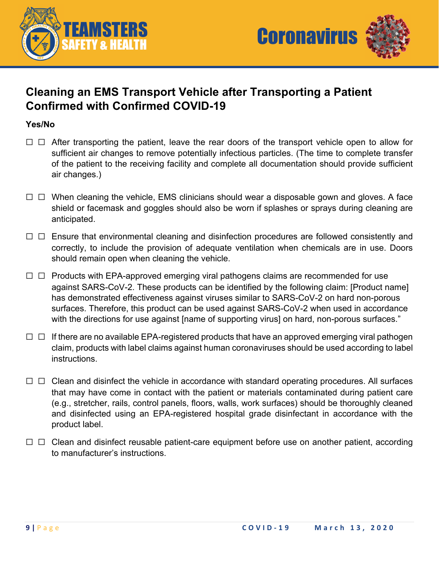



### **Cleaning an EMS Transport Vehicle after Transporting a Patient Confirmed with Confirmed COVID-19**

- $\Box$   $\Box$  After transporting the patient, leave the rear doors of the transport vehicle open to allow for sufficient air changes to remove potentially infectious particles. (The time to complete transfer of the patient to the receiving facility and complete all documentation should provide sufficient air changes.)
- □ □ When cleaning the vehicle, EMS clinicians should wear a disposable gown and gloves. A face shield or facemask and goggles should also be worn if splashes or sprays during cleaning are anticipated.
- □ □ Ensure that environmental cleaning and disinfection procedures are followed consistently and correctly, to include the provision of adequate ventilation when chemicals are in use. Doors should remain open when cleaning the vehicle.
- $\Box$   $\Box$  Products with EPA-approved emerging viral pathogens claims are recommended for use against SARS-CoV-2. These products can be identified by the following claim: [Product name] has demonstrated effectiveness against viruses similar to SARS-CoV-2 on hard non-porous surfaces. Therefore, this product can be used against SARS-CoV-2 when used in accordance with the directions for use against [name of supporting virus] on hard, non-porous surfaces."
- $\Box$   $\Box$  If there are no available EPA-registered products that have an approved emerging viral pathogen claim, products with label claims against human coronaviruses should be used according to label instructions.
- $\Box$   $\Box$  Clean and disinfect the vehicle in accordance with standard operating procedures. All surfaces that may have come in contact with the patient or materials contaminated during patient care (e.g., stretcher, rails, control panels, floors, walls, work surfaces) should be thoroughly cleaned and disinfected using an EPA-registered hospital grade disinfectant in accordance with the product label.
- ☐ ☐ Clean and disinfect reusable patient-care equipment before use on another patient, according to manufacturer's instructions.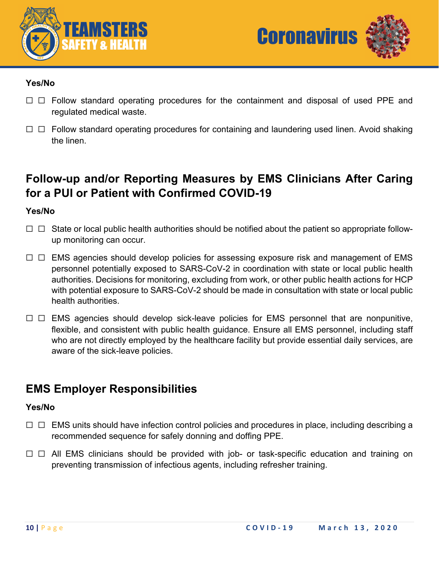



#### **Yes/No**

- □ □ Follow standard operating procedures for the containment and disposal of used PPE and regulated medical waste.
- $\Box$   $\Box$  Follow standard operating procedures for containing and laundering used linen. Avoid shaking the linen.

### **Follow-up and/or Reporting Measures by EMS Clinicians After Caring for a PUI or Patient with Confirmed COVID-19**

#### **Yes/No**

- $\Box$   $\Box$  State or local public health authorities should be notified about the patient so appropriate followup monitoring can occur.
- □ □ EMS agencies should develop policies for assessing exposure risk and management of EMS personnel potentially exposed to SARS-CoV-2 in coordination with state or local public health authorities. Decisions for monitoring, excluding from work, or other public health actions for HCP with potential exposure to SARS-CoV-2 should be made in consultation with state or local public health authorities.
- □ □ EMS agencies should develop sick-leave policies for EMS personnel that are nonpunitive, flexible, and consistent with public health guidance. Ensure all EMS personnel, including staff who are not directly employed by the healthcare facility but provide essential daily services, are aware of the sick-leave policies.

### **EMS Employer Responsibilities**

- □ □ EMS units should have infection control policies and procedures in place, including describing a recommended sequence for safely donning and doffing PPE.
- ☐ ☐ All EMS clinicians should be provided with job- or task-specific education and training on preventing transmission of infectious agents, including refresher training.